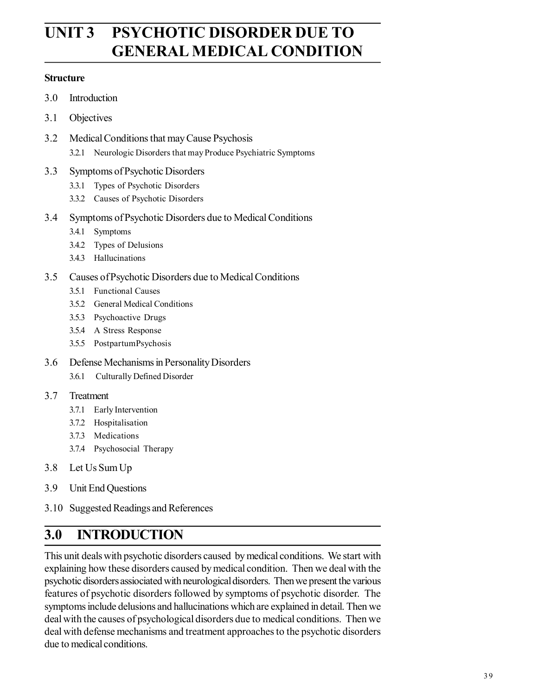# **UNIT 3 PSYCHOTIC DISORDER DUE TO GENERAL MEDICAL CONDITION**

#### **Structure**

- 3.0 Introduction
- 3.1 Objectives
- 3.2 Medical Conditions that may Cause Psychosis 3.2.1 Neurologic Disorders that may Produce Psychiatric Symptoms
- 3.3 Symptoms of Psychotic Disorders
	- 3.3.1 Types of Psychotic Disorders
	- 3.3.2 Causes of Psychotic Disorders
- 3.4 Symptoms of Psychotic Disorders due to Medical Conditions
	- 3.4.1 Symptoms
	- 3.4.2 Types of Delusions
	- 3.4.3 Hallucinations
- 3.5 Causes of Psychotic Disorders due to Medical Conditions
	- 3.5.1 Functional Causes
	- 3.5.2 General Medical Conditions
	- 3.5.3 Psychoactive Drugs
	- 3.5.4 A Stress Response
	- 3.5.5 PostpartumPsychosis
- 3.6 Defense Mechanisms in Personality Disorders
	- 3.6.1 Culturally Defined Disorder

#### 3.7 Treatment

- 3.7.1 Early Intervention
- 3.7.2 Hospitalisation
- 3.7.3 Medications
- 3.7.4 Psychosocial Therapy
- 3.8 Let Us Sum Up
- 3.9 Unit End Questions
- 3.10 Suggested Readings and References

## **3.0 INTRODUCTION**

This unit deals with psychotic disorders caused by medical conditions. We start with explaining how these disorders caused by medical condition. Then we deal with the psychotic disorders assiociated with neurological disorders. Then we present the various features of psychotic disorders followed by symptoms of psychotic disorder. The symptoms include delusions and hallucinations which are explained in detail. Then we deal with the causes of psychological disorders due to medical conditions. Then we deal with defense mechanisms and treatment approaches to the psychotic disorders due to medical conditions.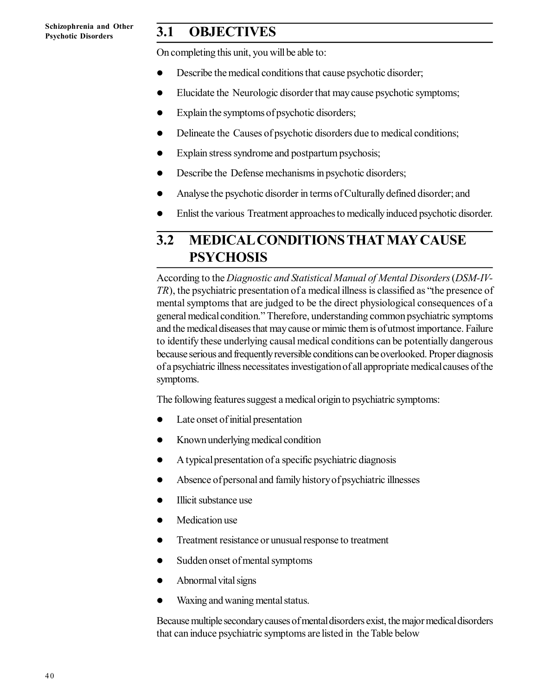## **3.1 OBJECTIVES**

On completing this unit, you will be able to:

- Describe the medical conditions that cause psychotic disorder;
- Elucidate the Neurologic disorder that may cause psychotic symptoms;
- Explain the symptoms of psychotic disorders;
- Delineate the Causes of psychotic disorders due to medical conditions;
- Explain stress syndrome and postpartum psychosis;
- Describe the Defense mechanisms in psychotic disorders;
- Analyse the psychotic disorder in terms of Culturally defined disorder; and
- Enlist the various Treatment approaches to medically induced psychotic disorder.

### **3.2 MEDICAL CONDITIONS THAT MAY CAUSE PSYCHOSIS**

According to the *Diagnostic and Statistical Manual of Mental Disorders* (*DSM-IV-TR*), the psychiatric presentation of a medical illness is classified as "the presence of mental symptoms that are judged to be the direct physiological consequences of a general medical condition." Therefore, understanding common psychiatric symptoms and the medical diseases that may cause or mimic them is of utmost importance. Failure to identify these underlying causal medical conditions can be potentially dangerous because serious and frequently reversible conditions can be overlooked. Proper diagnosis of a psychiatric illness necessitates investigation of all appropriate medical causes of the symptoms.

The following features suggest a medical origin to psychiatric symptoms:

- Late onset of initial presentation
- Known underlying medical condition
- A typical presentation of a specific psychiatric diagnosis
- Absence of personal and family history of psychiatric illnesses
- Illicit substance use
- Medication use
- Treatment resistance or unusual response to treatment
- Sudden onset of mental symptoms
- Abnormal vital signs
- Waxing and waning mental status.

Because multiple secondary causes of mental disorders exist, the major medical disorders that can induce psychiatric symptoms are listed in the Table below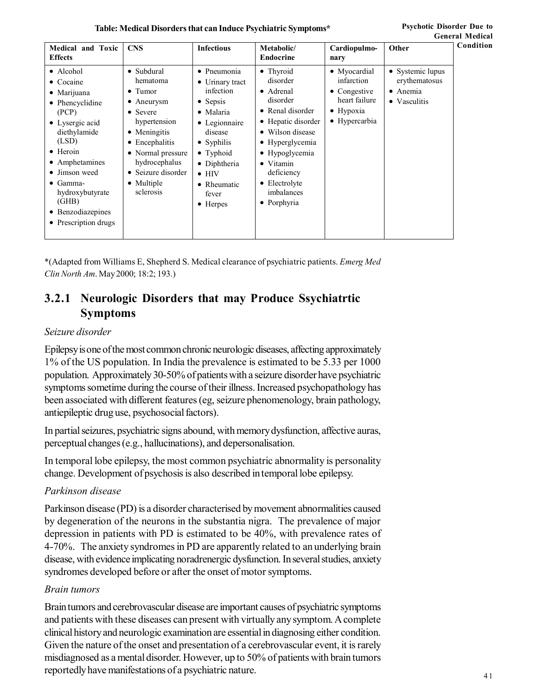**Table: Medical Disorders that can Induce Psychiatric Symptoms\***

| <b>Medical and Toxic</b><br><b>Effects</b>                                                                                                                                                                                                                                        | <b>CNS</b>                                                                                                                                                                                                                   | <b>Infectious</b>                                                                                                                                                                                                                                | Metabolic/<br><b>Endocrine</b>                                                                                                                                                                                                     | Cardiopulmo-<br>nary                                                                              | Other                                                                 |
|-----------------------------------------------------------------------------------------------------------------------------------------------------------------------------------------------------------------------------------------------------------------------------------|------------------------------------------------------------------------------------------------------------------------------------------------------------------------------------------------------------------------------|--------------------------------------------------------------------------------------------------------------------------------------------------------------------------------------------------------------------------------------------------|------------------------------------------------------------------------------------------------------------------------------------------------------------------------------------------------------------------------------------|---------------------------------------------------------------------------------------------------|-----------------------------------------------------------------------|
| • Alcohol<br>$\bullet$ Cocaine<br>$\bullet$ Marijuana<br>• Phencyclidine<br>(PCP)<br>• Lysergic acid<br>diethylamide<br>(LSD)<br>$\bullet$ Heroin<br>• Amphetamines<br>• Jimson weed<br>$\bullet$ Gamma-<br>hydroxybutyrate<br>(GHB)<br>• Benzodiazepines<br>• Prescription drugs | • Subdural<br>hematoma<br>$\bullet$ Tumor<br>$\bullet$ Aneurysm<br>• Severe<br>hypertension<br>• Meningitis<br>$\bullet$ Encephalitis<br>• Normal pressure<br>hydrocephalus<br>• Seizure disorder<br>• Multiple<br>sclerosis | • Pneumonia<br>$\bullet$ Urinary tract<br>infection<br>$\bullet$ Sepsis<br>$\bullet$ Malaria<br>• Legionnaire<br>disease<br>$\bullet$ Syphilis<br>$\bullet$ Typhoid<br>• Diphtheria<br>$\bullet$ HIV<br>• Rheumatic<br>fever<br>$\bullet$ Herpes | • Thyroid<br>disorder<br>• Adrenal<br>disorder<br>• Renal disorder<br>• Hepatic disorder<br>• Wilson disease<br>• Hyperglycemia<br>• Hypoglycemia<br>• Vitamin<br>deficiency<br>• Electrolyte<br>imbalances<br>$\bullet$ Porphyria | • Myocardial<br>infarction<br>• Congestive<br>heart failure<br>$\bullet$ Hypoxia<br>• Hypercarbia | • Systemic lupus<br>erythematosus<br>$\bullet$ Anemia<br>• Vasculitis |

\*(Adapted from Williams E, Shepherd S. Medical clearance of psychiatric patients. *Emerg Med Clin North Am*. May 2000; 18:2; 193.)

### **3.2.1 Neurologic Disorders that may Produce Ssychiatrtic Symptoms**

#### *Seizure disorder*

Epilepsy is one of the most common chronic neurologic diseases, affecting approximately 1% of the US population. In India the prevalence is estimated to be 5.33 per 1000 population. Approximately 30-50% of patients with a seizure disorder have psychiatric symptoms sometime during the course of their illness. Increased psychopathology has been associated with different features (eg, seizure phenomenology, brain pathology, antiepileptic drug use, psychosocial factors).

In partial seizures, psychiatric signs abound, with memory dysfunction, affective auras, perceptual changes (e.g., hallucinations), and depersonalisation.

In temporal lobe epilepsy, the most common psychiatric abnormality is personality change. Development of psychosis is also described in temporal lobe epilepsy.

#### *Parkinson disease*

Parkinson disease (PD) is a disorder characterised by movement abnormalities caused by degeneration of the neurons in the substantia nigra. The prevalence of major depression in patients with PD is estimated to be 40%, with prevalence rates of 4-70%. The anxiety syndromes in PD are apparently related to an underlying brain disease, with evidence implicating noradrenergic dysfunction. In several studies, anxiety syndromes developed before or after the onset of motor symptoms.

#### *Brain tumors*

Brain tumors and cerebrovascular disease are important causes of psychiatric symptoms and patients with these diseases can present with virtually any symptom. A complete clinical history and neurologic examination are essential in diagnosing either condition. Given the nature of the onset and presentation of a cerebrovascular event, it is rarely misdiagnosed as a mental disorder. However, up to 50% of patients with brain tumors reportedly have manifestations of a psychiatric nature.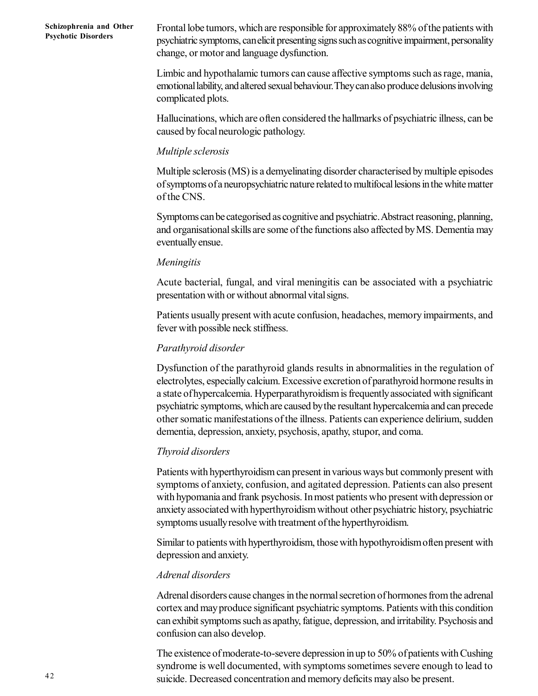Frontal lobe tumors, which are responsible for approximately 88% of the patients with psychiatric symptoms, can elicit presenting signs such as cognitive impairment, personality change, or motor and language dysfunction.

Limbic and hypothalamic tumors can cause affective symptoms such as rage, mania, emotional lability, and altered sexual behaviour.They can also produce delusions involving complicated plots.

Hallucinations, which are often considered the hallmarks of psychiatric illness, can be caused by focal neurologic pathology.

#### *Multiple sclerosis*

Multiple sclerosis (MS) is a demyelinating disorder characterised by multiple episodes of symptoms of a neuropsychiatric nature related to multifocal lesions in the white matter of the CNS.

Symptoms can be categorised as cognitive and psychiatric. Abstract reasoning, planning, and organisational skills are some of the functions also affected by MS. Dementia may eventually ensue.

#### *Meningitis*

Acute bacterial, fungal, and viral meningitis can be associated with a psychiatric presentation with or without abnormal vital signs.

Patients usually present with acute confusion, headaches, memory impairments, and fever with possible neck stiffness.

#### *Parathyroid disorder*

Dysfunction of the parathyroid glands results in abnormalities in the regulation of electrolytes, especially calcium. Excessive excretion of parathyroid hormone results in a state of hypercalcemia. Hyperparathyroidism is frequently associated with significant psychiatric symptoms, which are caused by the resultant hypercalcemia and can precede other somatic manifestations of the illness. Patients can experience delirium, sudden dementia, depression, anxiety, psychosis, apathy, stupor, and coma.

#### *Thyroid disorders*

Patients with hyperthyroidism can present in various ways but commonly present with symptoms of anxiety, confusion, and agitated depression. Patients can also present with hypomania and frank psychosis. In most patients who present with depression or anxiety associated with hyperthyroidism without other psychiatric history, psychiatric symptoms usually resolve with treatment of the hyperthyroidism.

Similar to patients with hyperthyroidism, those with hypothyroidism often present with depression and anxiety.

#### *Adrenal disorders*

Adrenal disorders cause changes in the normal secretion of hormones from the adrenal cortex and may produce significant psychiatric symptoms. Patients with this condition can exhibit symptoms such as apathy, fatigue, depression, and irritability. Psychosis and confusion can also develop.

The existence of moderate-to-severe depression in up to 50% of patients with Cushing syndrome is well documented, with symptoms sometimes severe enough to lead to suicide. Decreased concentration and memory deficits may also be present.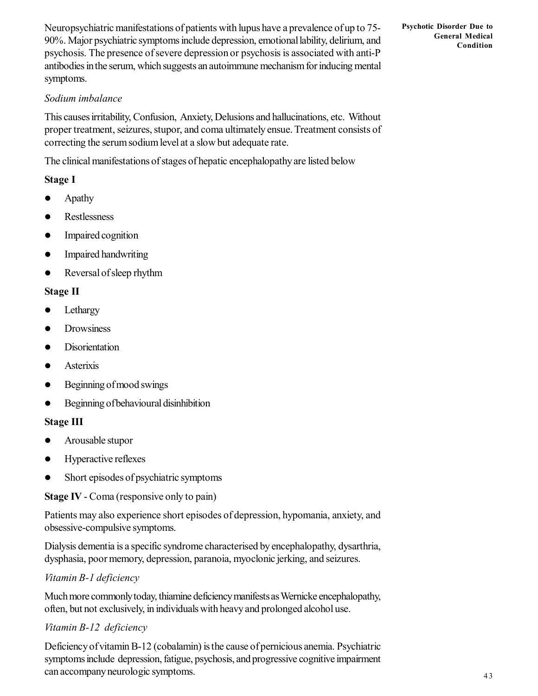Neuropsychiatric manifestations of patients with lupus have a prevalence of up to 75- 90%. Major psychiatric symptoms include depression, emotional lability, delirium, and psychosis. The presence of severe depression or psychosis is associated with anti-P antibodies in the serum, which suggests an autoimmune mechanism for inducing mental symptoms.

**Psychotic Disorder Due to General Medical Condition**

#### *Sodium imbalance*

This causes irritability, Confusion, Anxiety, Delusions and hallucinations, etc. Without proper treatment, seizures, stupor, and coma ultimately ensue. Treatment consists of correcting the serum sodium level at a slow but adequate rate.

The clinical manifestations of stages of hepatic encephalopathy are listed below

#### **Stage I**

- Apathy
- Restlessness
- Impaired cognition
- Impaired handwriting
- Reversal of sleep rhythm

#### **Stage II**

- Lethargy
- Drowsiness
- **Disorientation**
- Asterixis
- Beginning of mood swings
- Beginning of behavioural disinhibition

#### **Stage III**

- Arousable stupor
- Hyperactive reflexes
- Short episodes of psychiatric symptoms

**Stage IV** - Coma (responsive only to pain)

Patients may also experience short episodes of depression, hypomania, anxiety, and obsessive-compulsive symptoms.

Dialysis dementia is a specific syndrome characterised by encephalopathy, dysarthria, dysphasia, poor memory, depression, paranoia, myoclonic jerking, and seizures.

#### *Vitamin B-1 deficiency*

Much more commonly today, thiamine deficiency manifests as Wernicke encephalopathy, often, but not exclusively, in individuals with heavy and prolonged alcohol use.

#### *Vitamin B-12 deficiency*

Deficiency of vitamin B-12 (cobalamin) is the cause of pernicious anemia. Psychiatric symptoms include depression, fatigue, psychosis, and progressive cognitive impairment can accompany neurologic symptoms.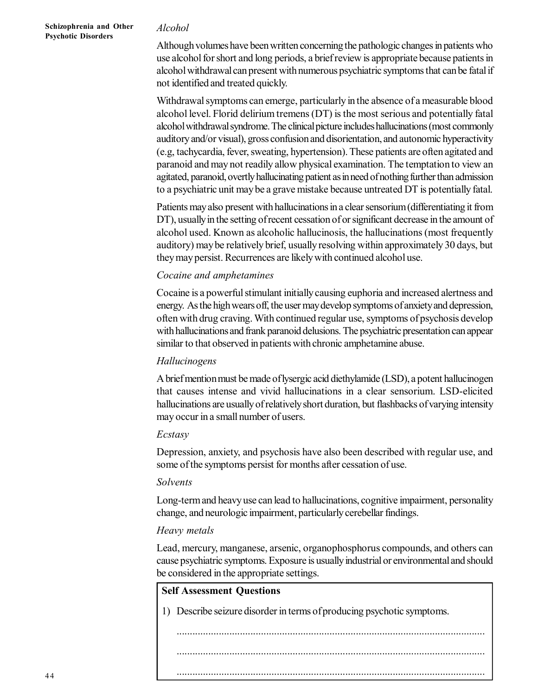#### *Alcohol*

Although volumes have been written concerning the pathologic changes in patients who use alcohol for short and long periods, a brief review is appropriate because patients in alcohol withdrawal can present with numerous psychiatric symptoms that can be fatal if not identified and treated quickly.

Withdrawal symptoms can emerge, particularly in the absence of a measurable blood alcohol level. Florid delirium tremens (DT) is the most serious and potentially fatal alcohol withdrawal syndrome. The clinical picture includes hallucinations (most commonly auditory and/or visual), gross confusion and disorientation, and autonomic hyperactivity (e.g, tachycardia, fever, sweating, hypertension). These patients are often agitated and paranoid and may not readily allow physical examination. The temptation to view an agitated, paranoid, overtly hallucinating patient as in need of nothing further than admission to a psychiatric unit may be a grave mistake because untreated DT is potentially fatal.

Patients may also present with hallucinations in a clear sensorium (differentiating it from DT), usually in the setting of recent cessation of or significant decrease in the amount of alcohol used. Known as alcoholic hallucinosis, the hallucinations (most frequently auditory) may be relatively brief, usually resolving within approximately 30 days, but they may persist. Recurrences are likely with continued alcohol use.

#### *Cocaine and amphetamines*

Cocaine is a powerful stimulant initially causing euphoria and increased alertness and energy. As the high wears off, the user may develop symptoms of anxiety and depression, often with drug craving. With continued regular use, symptoms of psychosis develop with hallucinations and frank paranoid delusions. The psychiatric presentation can appear similar to that observed in patients with chronic amphetamine abuse.

#### *Hallucinogens*

A brief mention must be made of lysergic acid diethylamide (LSD), a potent hallucinogen that causes intense and vivid hallucinations in a clear sensorium. LSD-elicited hallucinations are usually of relatively short duration, but flashbacks of varying intensity may occur in a small number of users.

#### *Ecstasy*

Depression, anxiety, and psychosis have also been described with regular use, and some of the symptoms persist for months after cessation of use.

#### *Solvents*

Long-term and heavy use can lead to hallucinations, cognitive impairment, personality change, and neurologic impairment, particularly cerebellar findings.

#### *Heavy metals*

Lead, mercury, manganese, arsenic, organophosphorus compounds, and others can cause psychiatric symptoms. Exposure is usually industrial or environmental and should be considered in the appropriate settings.

#### **Self Assessment Questions**

1) Describe seizure disorder in terms of producing psychotic symptoms.

.....................................................................................................................

.....................................................................................................................

.....................................................................................................................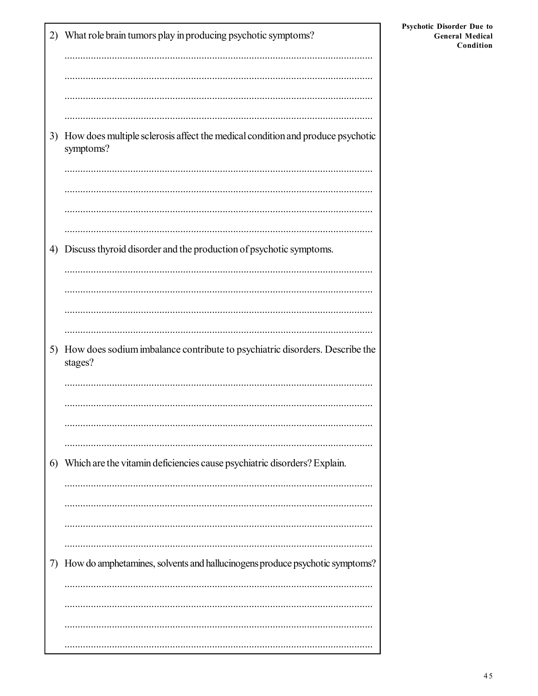|    | 2) What role brain tumors play in producing psychotic symptoms?                             |
|----|---------------------------------------------------------------------------------------------|
|    |                                                                                             |
|    |                                                                                             |
| 3) | How does multiple sclerosis affect the medical condition and produce psychotic<br>symptoms? |
|    |                                                                                             |
|    |                                                                                             |
| 4) | Discuss thyroid disorder and the production of psychotic symptoms.                          |
|    |                                                                                             |
|    |                                                                                             |
|    |                                                                                             |
| 5) | How does sodium imbalance contribute to psychiatric disorders. Describe the<br>stages?      |
|    |                                                                                             |
|    |                                                                                             |
|    |                                                                                             |
| 6) | Which are the vitamin deficiencies cause psychiatric disorders? Explain.                    |
|    |                                                                                             |
|    |                                                                                             |
| 7) | How do amphetamines, solvents and hallucinogens produce psychotic symptoms?                 |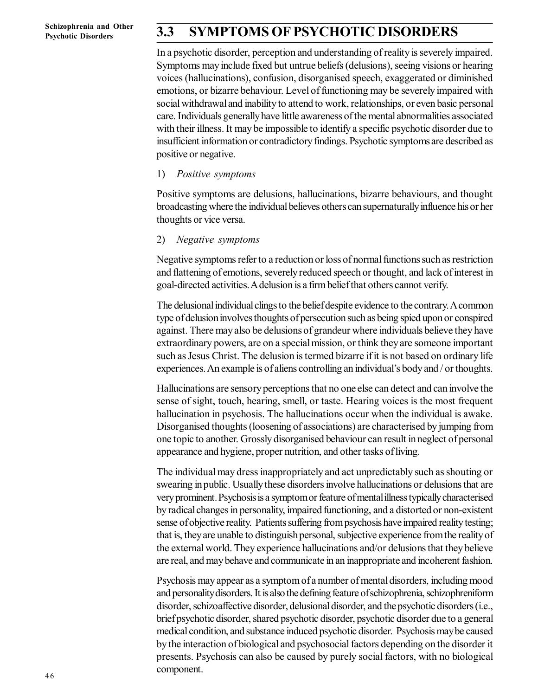## **3.3 SYMPTOMS OF PSYCHOTIC DISORDERS**

In a psychotic disorder, perception and understanding of reality is severely impaired. Symptoms may include fixed but untrue beliefs (delusions), seeing visions or hearing voices (hallucinations), confusion, disorganised speech, exaggerated or diminished emotions, or bizarre behaviour. Level of functioning may be severely impaired with social withdrawal and inability to attend to work, relationships, or even basic personal care. Individuals generally have little awareness of the mental abnormalities associated with their illness. It may be impossible to identify a specific psychotic disorder due to insufficient information or contradictory findings. Psychotic symptoms are described as positive or negative.

#### 1) *Positive symptoms*

Positive symptoms are delusions, hallucinations, bizarre behaviours, and thought broadcasting where the individual believes others can supernaturally influence his or her thoughts or vice versa.

#### 2) *Negative symptoms*

Negative symptoms refer to a reduction or loss of normal functions such as restriction and flattening of emotions, severely reduced speech or thought, and lack of interest in goal-directed activities. A delusion is a firm belief that others cannot verify.

The delusional individual clings to the belief despite evidence to the contrary. A common type of delusion involves thoughts of persecution such as being spied upon or conspired against. There may also be delusions of grandeur where individuals believe they have extraordinary powers, are on a special mission, or think they are someone important such as Jesus Christ. The delusion is termed bizarre if it is not based on ordinary life experiences. An example is of aliens controlling an individual's body and / or thoughts.

Hallucinations are sensory perceptions that no one else can detect and can involve the sense of sight, touch, hearing, smell, or taste. Hearing voices is the most frequent hallucination in psychosis. The hallucinations occur when the individual is awake. Disorganised thoughts (loosening of associations) are characterised by jumping from one topic to another. Grossly disorganised behaviour can result in neglect of personal appearance and hygiene, proper nutrition, and other tasks of living.

The individual may dress inappropriately and act unpredictably such as shouting or swearing in public. Usually these disorders involve hallucinations or delusions that are very prominent. Psychosis is a symptom or feature of mental illness typically characterised by radical changes in personality, impaired functioning, and a distorted or non-existent sense of objective reality. Patients suffering from psychosis have impaired reality testing; that is, they are unable to distinguish personal, subjective experience from the reality of the external world. They experience hallucinations and/or delusions that they believe are real, and may behave and communicate in an inappropriate and incoherent fashion.

Psychosis may appear as a symptom of a number of mental disorders, including mood and personality disorders. It is also the defining feature of schizophrenia, schizophreniform disorder, schizoaffective disorder, delusional disorder, and the psychotic disorders (i.e., brief psychotic disorder, shared psychotic disorder, psychotic disorder due to a general medical condition, and substance induced psychotic disorder. Psychosis may be caused by the interaction of biological and psychosocial factors depending on the disorder it presents. Psychosis can also be caused by purely social factors, with no biological component.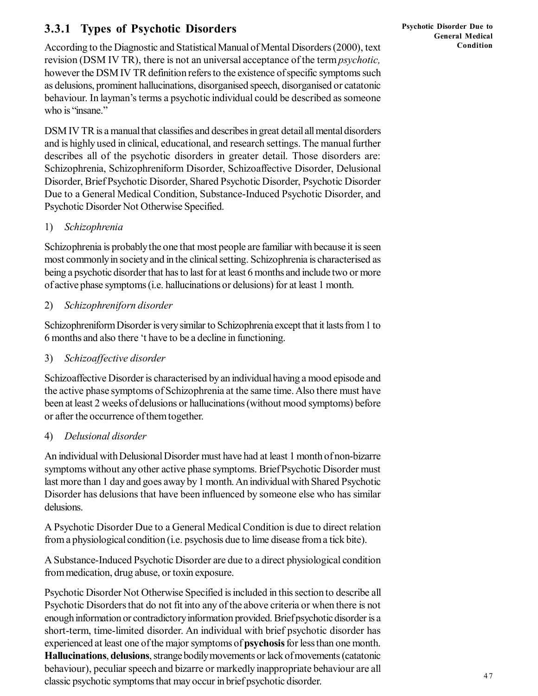### **3.3.1 Types of Psychotic Disorders**

According to the Diagnostic and Statistical Manual of Mental Disorders (2000), text revision (DSM IV TR), there is not an universal acceptance of the term *psychotic,* however the DSM IV TR definition refers to the existence of specific symptoms such as delusions, prominent hallucinations, disorganised speech, disorganised or catatonic behaviour. In layman's terms a psychotic individual could be described as someone who is "insane."

DSM IV TR is a manual that classifies and describes in great detail all mental disorders and is highly used in clinical, educational, and research settings. The manual further describes all of the psychotic disorders in greater detail. Those disorders are: Schizophrenia, Schizophreniform Disorder, Schizoaffective Disorder, Delusional Disorder, Brief Psychotic Disorder, Shared Psychotic Disorder, Psychotic Disorder Due to a General Medical Condition, Substance-Induced Psychotic Disorder, and Psychotic Disorder Not Otherwise Specified.

#### 1) *Schizophrenia*

Schizophrenia is probably the one that most people are familiar with because it is seen most commonly in society and in the clinical setting. Schizophrenia is characterised as being a psychotic disorder that has to last for at least 6 months and include two or more of active phase symptoms (i.e. hallucinations or delusions) for at least 1 month.

#### 2) *Schizophreniforn disorder*

Schizophreniform Disorder is very similar to Schizophrenia except that it lasts from 1 to 6 months and also there 't have to be a decline in functioning.

#### 3) *Schizoaffective disorder*

Schizoaffective Disorder is characterised by an individual having a mood episode and the active phase symptoms of Schizophrenia at the same time. Also there must have been at least 2 weeks of delusions or hallucinations (without mood symptoms) before or after the occurrence of them together.

#### 4) *Delusional disorder*

An individual with Delusional Disorder must have had at least 1 month of non-bizarre symptoms without any other active phase symptoms. Brief Psychotic Disorder must last more than 1 day and goes away by 1 month. An individual with Shared Psychotic Disorder has delusions that have been influenced by someone else who has similar delusions.

A Psychotic Disorder Due to a General Medical Condition is due to direct relation from a physiological condition (i.e. psychosis due to lime disease from a tick bite).

A Substance-Induced Psychotic Disorder are due to a direct physiological condition from medication, drug abuse, or toxin exposure.

Psychotic Disorder Not Otherwise Specified is included in this section to describe all Psychotic Disorders that do not fit into any of the above criteria or when there is not enough information or contradictory information provided. Brief psychotic disorder is a short-term, time-limited disorder. An individual with brief psychotic disorder has experienced at least one of the major symptoms of **psychosis** for less than one month. **Hallucinations**, **delusions**, strange bodily movements or lack of movements (catatonic behaviour), peculiar speech and bizarre or markedly inappropriate behaviour are all classic psychotic symptoms that may occur in brief psychotic disorder.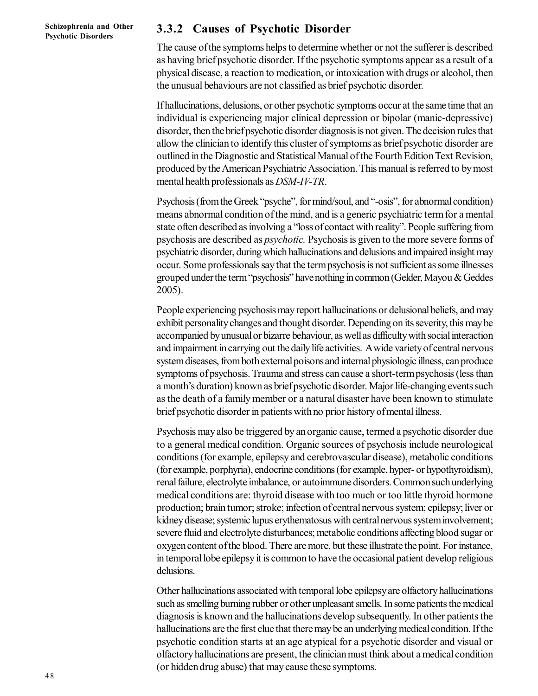#### **3.3.2 Causes of Psychotic Disorder**

The cause of the symptoms helps to determine whether or not the sufferer is described as having brief psychotic disorder. If the psychotic symptoms appear as a result of a physical disease, a reaction to medication, or intoxication with drugs or alcohol, then the unusual behaviours are not classified as brief psychotic disorder.

If hallucinations, delusions, or other psychotic symptoms occur at the same time that an individual is experiencing major clinical depression or bipolar (manic-depressive) disorder, then the brief psychotic disorder diagnosis is not given. The decision rules that allow the clinician to identify this cluster of symptoms as brief psychotic disorder are outlined in the Diagnostic and Statistical Manual of the Fourth Edition Text Revision, produced by the American Psychiatric Association. This manual is referred to by most mental health professionals as *DSM-IV-TR*.

Psychosis (from the Greek "psyche", for mind/soul, and "-osis", for abnormal condition) means abnormal condition of the mind, and is a generic psychiatric term for a mental state often described as involving a "loss of contact with reality". People suffering from psychosis are described as *psychotic.* Psychosis is given to the more severe forms of psychiatric disorder, during which hallucinations and delusions and impaired insight may occur. Some professionals say that the term psychosis is not sufficient as some illnesses grouped under the term "psychosis" have nothing in common (Gelder, Mayou & Geddes 2005).

People experiencing psychosis may report hallucinations or delusional beliefs, and may exhibit personality changes and thought disorder. Depending on its severity, this may be accompanied by unusual or bizarre behaviour, as well as difficulty with social interaction and impairment in carrying out the daily life activities. A wide variety of central nervous system diseases, from both external poisons and internal physiologic illness, can produce symptoms of psychosis. Trauma and stress can cause a short-term psychosis (less than a month's duration) known as brief psychotic disorder. Major life-changing events such as the death of a family member or a natural disaster have been known to stimulate brief psychotic disorder in patients with no prior history of mental illness.

Psychosis may also be triggered by an organic cause, termed a psychotic disorder due to a general medical condition. Organic sources of psychosis include neurological conditions (for example, epilepsy and cerebrovascular disease), metabolic conditions (for example, porphyria), endocrine conditions (for example, hyper- or hypothyroidism), renal failure, electrolyte imbalance, or autoimmune disorders. Common such underlying medical conditions are: thyroid disease with too much or too little thyroid hormone production; brain tumor; stroke; infection of central nervous system; epilepsy; liver or kidney disease; systemic lupus erythematosus with central nervous system involvement; severe fluid and electrolyte disturbances; metabolic conditions affecting blood sugar or oxygen content of the blood. There are more, but these illustrate the point. For instance, in temporal lobe epilepsy it is common to have the occasional patient develop religious delusions.

Other hallucinations associated with temporal lobe epilepsy are olfactory hallucinations such as smelling burning rubber or other unpleasant smells. In some patients the medical diagnosis is known and the hallucinations develop subsequently. In other patients the hallucinations are the first clue that there may be an underlying medical condition. If the psychotic condition starts at an age atypical for a psychotic disorder and visual or olfactory hallucinations are present, the clinician must think about a medical condition (or hidden drug abuse) that may cause these symptoms.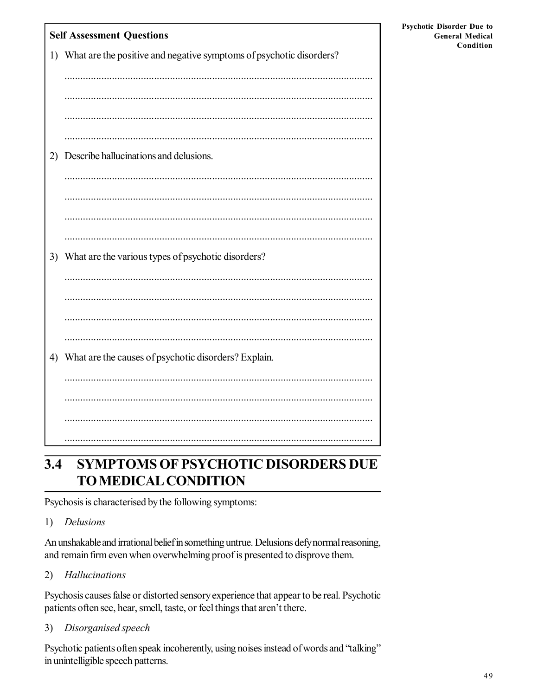| <b>Self Assessment Questions</b> |                                                                        |  |  |  |
|----------------------------------|------------------------------------------------------------------------|--|--|--|
|                                  | 1) What are the positive and negative symptoms of psychotic disorders? |  |  |  |
|                                  |                                                                        |  |  |  |
|                                  |                                                                        |  |  |  |
|                                  |                                                                        |  |  |  |
|                                  |                                                                        |  |  |  |
| 2)                               | Describe hallucinations and delusions.                                 |  |  |  |
|                                  |                                                                        |  |  |  |
|                                  |                                                                        |  |  |  |
|                                  |                                                                        |  |  |  |
|                                  |                                                                        |  |  |  |
|                                  |                                                                        |  |  |  |
| 3)                               | What are the various types of psychotic disorders?                     |  |  |  |
|                                  |                                                                        |  |  |  |
|                                  |                                                                        |  |  |  |
|                                  |                                                                        |  |  |  |
|                                  |                                                                        |  |  |  |
| 4)                               | What are the causes of psychotic disorders? Explain.                   |  |  |  |
|                                  |                                                                        |  |  |  |
|                                  |                                                                        |  |  |  |
|                                  |                                                                        |  |  |  |
|                                  |                                                                        |  |  |  |

#### $3.4$ **SYMPTOMS OF PSYCHOTIC DISORDERS DUE TO MEDICAL CONDITION**

Psychosis is characterised by the following symptoms:

#### **Delusions**  $1)$

An unshakable and irrational belief in something untrue. Delusions defynormal reasoning, and remain firm even when overwhelming proof is presented to disprove them.

#### $2)$ Hallucinations

Psychosis causes false or distorted sensory experience that appear to be real. Psychotic patients often see, hear, smell, taste, or feel things that aren't there.

 $3)$ Disorganised speech

Psychotic patients often speak incoherently, using noises instead of words and "talking" in unintelligible speech patterns.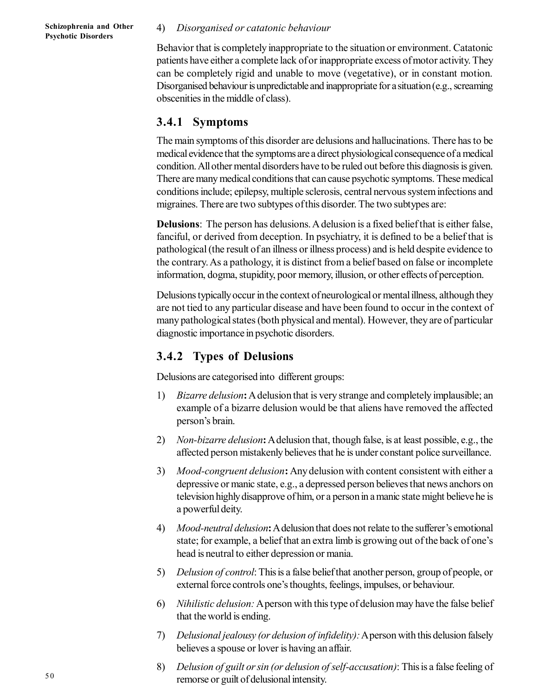#### 4) *Disorganised or catatonic behaviour*

Behavior that is completely inappropriate to the situation or environment. Catatonic patients have either a complete lack of or inappropriate excess of motor activity. They can be completely rigid and unable to move (vegetative), or in constant motion. Disorganised behaviour is unpredictable and inappropriate for a situation (e.g., screaming obscenities in the middle of class).

#### **3.4.1 Symptoms**

The main symptoms of this disorder are delusions and hallucinations. There has to be medical evidence that the symptoms are a direct physiological consequence of a medical condition. All other mental disorders have to be ruled out before this diagnosis is given. There are many medical conditions that can cause psychotic symptoms. These medical conditions include; epilepsy, multiple sclerosis, central nervous system infections and migraines. There are two subtypes of this disorder. The two subtypes are:

**Delusions**: The person has delusions. A delusion is a fixed belief that is either false, fanciful, or derived from deception. In psychiatry, it is defined to be a belief that is pathological (the result of an illness or illness process) and is held despite evidence to the contrary. As a pathology, it is distinct from a belief based on false or incomplete information, dogma, stupidity, poor memory, illusion, or other effects of perception.

Delusions typically occur in the context of neurological or mental illness, although they are not tied to any particular disease and have been found to occur in the context of many pathological states (both physical and mental). However, they are of particular diagnostic importance in psychotic disorders.

#### **3.4.2 Types of Delusions**

Delusions are categorised into different groups:

- 1) *Bizarre delusion***:** A delusion that is very strange and completely implausible; an example of a bizarre delusion would be that aliens have removed the affected person's brain.
- 2) *Non-bizarre delusion***:** A delusion that, though false, is at least possible, e.g., the affected person mistakenly believes that he is under constant police surveillance.
- 3) *Mood-congruent delusion***:** Any delusion with content consistent with either a depressive or manic state, e.g., a depressed person believes that news anchors on television highly disapprove of him, or a person in a manic state might believe he is a powerful deity.
- 4) *Mood-neutral delusion***:** A delusion that does not relate to the sufferer's emotional state; for example, a belief that an extra limb is growing out of the back of one's head is neutral to either depression or mania.
- 5) *Delusion of control*: This is a false belief that another person, group of people, or external force controls one's thoughts, feelings, impulses, or behaviour.
- 6) *Nihilistic delusion:* A person with this type of delusion may have the false belief that the world is ending.
- 7) *Delusional jealousy (or delusion of infidelity):* A person with this delusion falsely believes a spouse or lover is having an affair.
- 8) *Delusion of guilt or sin (or delusion of self-accusation)*: This is a false feeling of remorse or guilt of delusional intensity.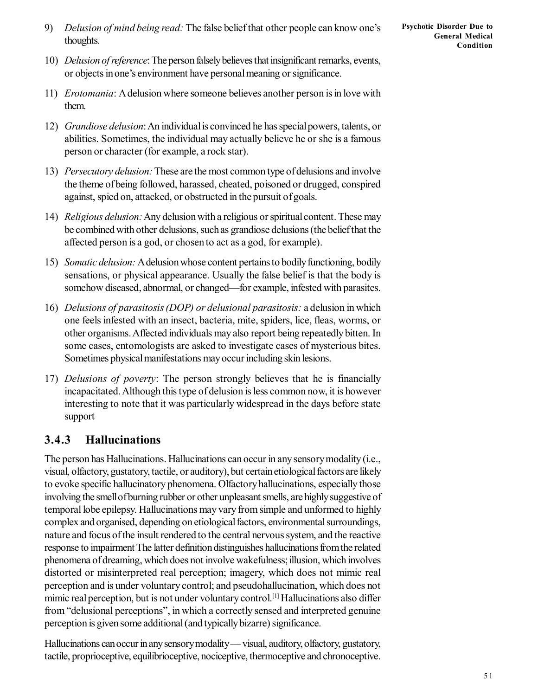9) *Delusion of mind being read:* The false belief that other people can know one's thoughts.

- 10) *Delusion of reference*: The person falsely believes that insignificant remarks, events, or objects in one's environment have personal meaning or significance.
- 11) *Erotomania*: A delusion where someone believes another person is in love with them.
- 12) *Grandiose delusion*: An individual is convinced he has special powers, talents, or abilities. Sometimes, the individual may actually believe he or she is a famous person or character (for example, a rock star).
- 13) *Persecutory delusion:* These are the most common type of delusions and involve the theme of being followed, harassed, cheated, poisoned or drugged, conspired against, spied on, attacked, or obstructed in the pursuit of goals.
- 14) *Religious delusion:* Any delusion with a religious or spiritual content. These may be combined with other delusions, such as grandiose delusions (the belief that the affected person is a god, or chosen to act as a god, for example).
- 15) *Somatic delusion:* A delusion whose content pertains to bodily functioning, bodily sensations, or physical appearance. Usually the false belief is that the body is somehow diseased, abnormal, or changed—for example, infested with parasites.
- 16) *Delusions of parasitosis (DOP) or delusional parasitosis:* a delusion in which one feels infested with an insect, bacteria, mite, spiders, lice, fleas, worms, or other organisms. Affected individuals may also report being repeatedly bitten. In some cases, entomologists are asked to investigate cases of mysterious bites. Sometimes physical manifestations may occur including skin lesions.
- 17) *Delusions of poverty*: The person strongly believes that he is financially incapacitated. Although this type of delusion is less common now, it is however interesting to note that it was particularly widespread in the days before state support

### **3.4.3 Hallucinations**

The person has Hallucinations. Hallucinations can occur in any sensory modality (i.e., visual, olfactory, gustatory, tactile, or auditory), but certain etiological factors are likely to evoke specific hallucinatory phenomena. Olfactory hallucinations, especially those involving the smell of burning rubber or other unpleasant smells, are highly suggestive of temporal lobe epilepsy. Hallucinations may vary from simple and unformed to highly complex and organised, depending on etiological factors, environmental surroundings, nature and focus of the insult rendered to the central nervous system, and the reactive response to impairment The latter definition distinguishes hallucinations from the related phenomena of dreaming, which does not involve wakefulness; illusion, which involves distorted or misinterpreted real perception; imagery, which does not mimic real perception and is under voluntary control; and pseudohallucination, which does not mimic real perception, but is not under voluntary control.[1] Hallucinations also differ from "delusional perceptions", in which a correctly sensed and interpreted genuine perception is given some additional (and typically bizarre) significance.

Hallucinations can occur in any sensory modality — visual, auditory, olfactory, gustatory, tactile, proprioceptive, equilibrioceptive, nociceptive, thermoceptive and chronoceptive.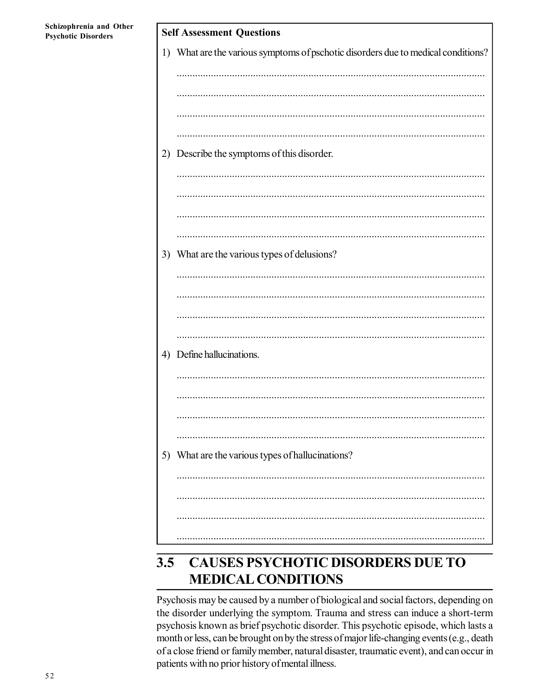**Self Assessment Questions** 1) What are the various symptoms of pschotic disorders due to medical conditions? 2) Describe the symptoms of this disorder. 3) What are the various types of delusions? 4) Define hallucinations. 5) What are the various types of hallucinations?

#### **CAUSES PSYCHOTIC DISORDERS DUE TO**  $3.5$ **MEDICAL CONDITIONS**

Psychosis may be caused by a number of biological and social factors, depending on the disorder underlying the symptom. Trauma and stress can induce a short-term psychosis known as brief psychotic disorder. This psychotic episode, which lasts a month or less, can be brought on by the stress of major life-changing events (e.g., death of a close friend or family member, natural disaster, traumatic event), and can occur in patients with no prior history of mental illness.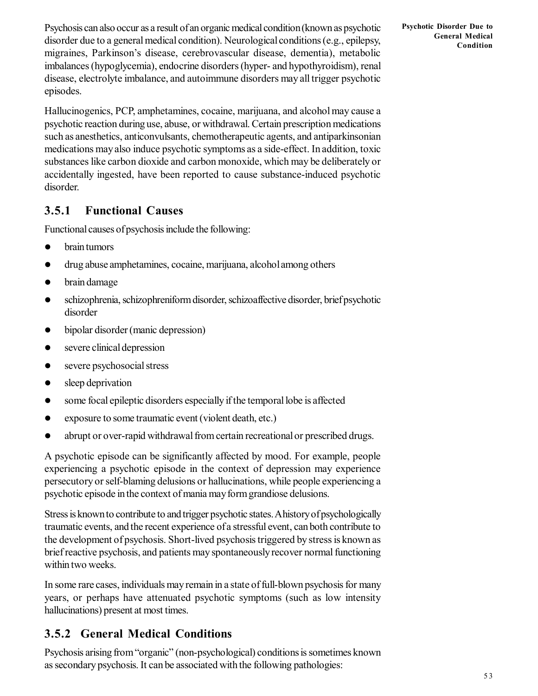Psychosis can also occur as a result of an organic medical condition (known as psychotic disorder due to a general medical condition). Neurological conditions (e.g., epilepsy, migraines, Parkinson's disease, cerebrovascular disease, dementia), metabolic imbalances (hypoglycemia), endocrine disorders (hyper- and hypothyroidism), renal disease, electrolyte imbalance, and autoimmune disorders may all trigger psychotic episodes.

Hallucinogenics, PCP, amphetamines, cocaine, marijuana, and alcohol may cause a psychotic reaction during use, abuse, or withdrawal. Certain prescription medications such as anesthetics, anticonvulsants, chemotherapeutic agents, and antiparkinsonian medications may also induce psychotic symptoms as a side-effect. In addition, toxic substances like carbon dioxide and carbon monoxide, which may be deliberately or accidentally ingested, have been reported to cause substance-induced psychotic disorder.

### **3.5.1 Functional Causes**

Functional causes of psychosis include the following:

- brain tumors
- drug abuse amphetamines, cocaine, marijuana, alcohol among others
- brain damage
- schizophrenia, schizophreniform disorder, schizoaffective disorder, brief psychotic disorder
- bipolar disorder (manic depression)
- severe clinical depression
- severe psychosocial stress
- sleep deprivation
- some focal epileptic disorders especially if the temporal lobe is affected
- exposure to some traumatic event (violent death, etc.)
- abrupt or over-rapid withdrawal from certain recreational or prescribed drugs.

A psychotic episode can be significantly affected by mood. For example, people experiencing a psychotic episode in the context of depression may experience persecutory or self-blaming delusions or hallucinations, while people experiencing a psychotic episode in the context of mania may form grandiose delusions.

Stress is known to contribute to and trigger psychotic states. A history of psychologically traumatic events, and the recent experience of a stressful event, can both contribute to the development of psychosis. Short-lived psychosis triggered by stress is known as brief reactive psychosis, and patients may spontaneously recover normal functioning within two weeks.

In some rare cases, individuals may remain in a state of full-blown psychosis for many years, or perhaps have attenuated psychotic symptoms (such as low intensity hallucinations) present at most times.

### **3.5.2 General Medical Conditions**

Psychosis arising from "organic" (non-psychological) conditions is sometimes known as secondary psychosis. It can be associated with the following pathologies: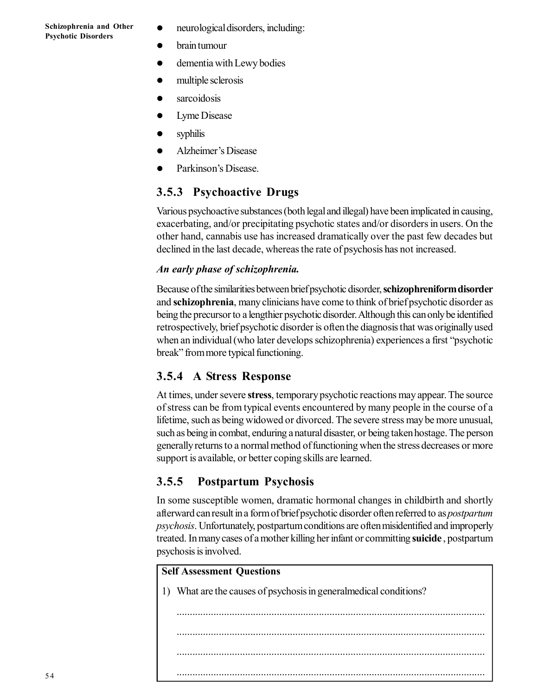- neurological disorders, including:
- brain tumour
- dementia with Lewy bodies
- multiple sclerosis
- sarcoidosis
- Lyme Disease
- syphilis
- Alzheimer's Disease
- Parkinson's Disease.

### **3.5.3 Psychoactive Drugs**

Various psychoactive substances (both legal and illegal) have been implicated in causing, exacerbating, and/or precipitating psychotic states and/or disorders in users. On the other hand, cannabis use has increased dramatically over the past few decades but declined in the last decade, whereas the rate of psychosis has not increased.

#### *An early phase of schizophrenia.*

Because of the similarities between brief psychotic disorder, **schizophreniform disorder** and **schizophrenia**, many clinicians have come to think of brief psychotic disorder as being the precursor to a lengthier psychotic disorder. Although this can only be identified retrospectively, brief psychotic disorder is often the diagnosis that was originally used when an individual (who later develops schizophrenia) experiences a first "psychotic break" from more typical functioning.

### **3.5.4 A Stress Response**

At times, under severe **stress**, temporary psychotic reactions may appear. The source of stress can be from typical events encountered by many people in the course of a lifetime, such as being widowed or divorced. The severe stress may be more unusual, such as being in combat, enduring a natural disaster, or being taken hostage. The person generally returns to a normal method of functioning when the stress decreases or more support is available, or better coping skills are learned.

### **3.5.5 Postpartum Psychosis**

In some susceptible women, dramatic hormonal changes in childbirth and shortly afterward can result in a form of brief psychotic disorder often referred to as *postpartum psychosis*. Unfortunately, postpartum conditions are often misidentified and improperly treated. In many cases of a mother killing her infant or committing **suicide** , postpartum psychosis is involved.

#### **Self Assessment Questions**

1) What are the causes of psychosis in generalmedical conditions?

..................................................................................................................... ..................................................................................................................... ..................................................................................................................... .....................................................................................................................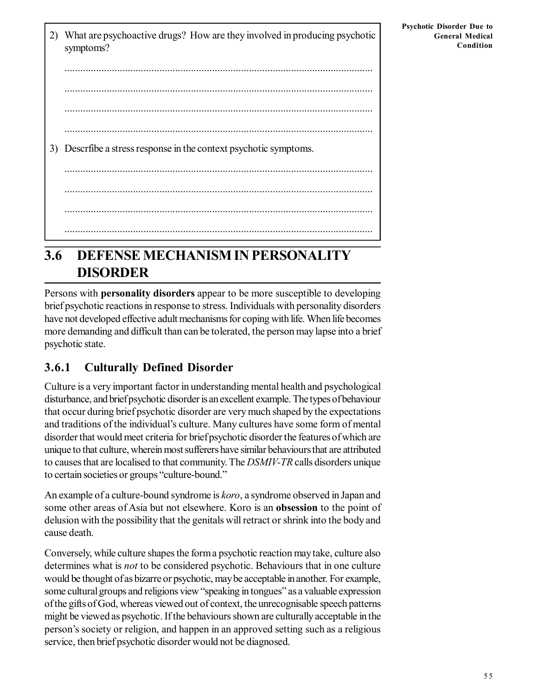2) What are psychoactive drugs? How are they involved in producing psychotic symptoms? ..................................................................................................................... ..................................................................................................................... ..................................................................................................................... ..................................................................................................................... 3) Descrfibe a stress response in the context psychotic symptoms. ..................................................................................................................... ..................................................................................................................... ..................................................................................................................... .....................................................................................................................

# **3.6 DEFENSE MECHANISM IN PERSONALITY DISORDER**

Persons with **personality disorders** appear to be more susceptible to developing brief psychotic reactions in response to stress. Individuals with personality disorders have not developed effective adult mechanisms for coping with life. When life becomes more demanding and difficult than can be tolerated, the person may lapse into a brief psychotic state.

## **3.6.1 Culturally Defined Disorder**

Culture is a very important factor in understanding mental health and psychological disturbance, and brief psychotic disorder is an excellent example. The types of behaviour that occur during brief psychotic disorder are very much shaped by the expectations and traditions of the individual's culture. Many cultures have some form of mental disorder that would meet criteria for brief psychotic disorder the features of which are unique to that culture, wherein most sufferers have similar behaviours that are attributed to causes that are localised to that community. The *DSMIV-TR* calls disorders unique to certain societies or groups "culture-bound."

An example of a culture-bound syndrome is *koro*, a syndrome observed in Japan and some other areas of Asia but not elsewhere. Koro is an **obsession** to the point of delusion with the possibility that the genitals will retract or shrink into the body and cause death.

Conversely, while culture shapes the form a psychotic reaction may take, culture also determines what is *not* to be considered psychotic. Behaviours that in one culture would be thought of as bizarre or psychotic, may be acceptable in another. For example, some cultural groups and religions view "speaking in tongues" as a valuable expression of the gifts of God, whereas viewed out of context, the unrecognisable speech patterns might be viewed as psychotic. If the behaviours shown are culturally acceptable in the person's society or religion, and happen in an approved setting such as a religious service, then brief psychotic disorder would not be diagnosed.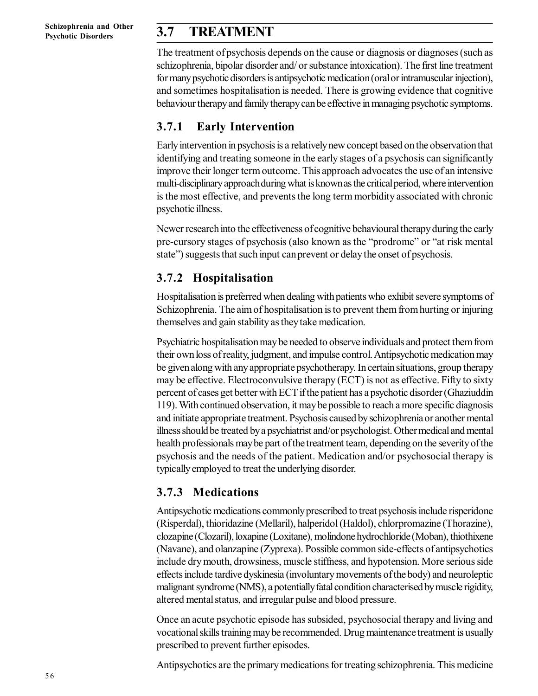### **3.7 TREATMENT**

The treatment of psychosis depends on the cause or diagnosis or diagnoses (such as schizophrenia, bipolar disorder and/ or substance intoxication). The first line treatment for many psychotic disorders is antipsychotic medication (oral or intramuscular injection), and sometimes hospitalisation is needed. There is growing evidence that cognitive behaviour therapy and family therapy can be effective in managing psychotic symptoms.

### **3.7.1 Early Intervention**

Early intervention in psychosis is a relatively new concept based on the observation that identifying and treating someone in the early stages of a psychosis can significantly improve their longer term outcome. This approach advocates the use of an intensive multi-disciplinary approach during what is known as the critical period, where intervention is the most effective, and prevents the long term morbidity associated with chronic psychotic illness.

Newer research into the effectiveness of cognitive behavioural therapy during the early pre-cursory stages of psychosis (also known as the "prodrome" or "at risk mental state") suggests that such input can prevent or delay the onset of psychosis.

### **3.7.2 Hospitalisation**

Hospitalisation is preferred when dealing with patients who exhibit severe symptoms of Schizophrenia. The aim of hospitalisation is to prevent them from hurting or injuring themselves and gain stability as they take medication.

Psychiatric hospitalisation may be needed to observe individuals and protect them from their own loss of reality, judgment, and impulse control. Antipsychotic medication may be given along with any appropriate psychotherapy. In certain situations, group therapy may be effective. Electroconvulsive therapy (ECT) is not as effective. Fifty to sixty percent of cases get better with ECT if the patient has a psychotic disorder (Ghaziuddin 119). With continued observation, it may be possible to reach a more specific diagnosis and initiate appropriate treatment. Psychosis caused by schizophrenia or another mental illness should be treated by a psychiatrist and/or psychologist. Other medical and mental health professionals may be part of the treatment team, depending on the severity of the psychosis and the needs of the patient. Medication and/or psychosocial therapy is typically employed to treat the underlying disorder.

### **3.7.3 Medications**

Antipsychotic medications commonly prescribed to treat psychosis include risperidone (Risperdal), thioridazine (Mellaril), halperidol (Haldol), chlorpromazine (Thorazine), clozapine (Clozaril), loxapine (Loxitane), molindone hydrochloride (Moban), thiothixene (Navane), and olanzapine (Zyprexa). Possible common side-effects of antipsychotics include dry mouth, drowsiness, muscle stiffness, and hypotension. More serious side effects include tardive dyskinesia (involuntary movements of the body) and neuroleptic malignant syndrome (NMS), a potentially fatal condition characterised by muscle rigidity, altered mental status, and irregular pulse and blood pressure.

Once an acute psychotic episode has subsided, psychosocial therapy and living and vocational skills training may be recommended. Drug maintenance treatment is usually prescribed to prevent further episodes.

Antipsychotics are the primary medications for treating schizophrenia. This medicine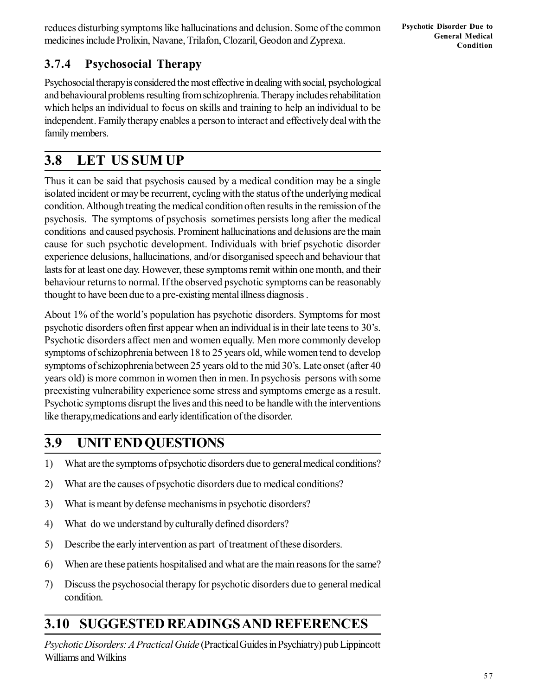reduces disturbing symptoms like hallucinations and delusion. Some of the common medicines include Prolixin, Navane, Trilafon, Clozaril, Geodon and Zyprexa.

# **3.7.4 Psychosocial Therapy**

Psychosocial therapy is considered the most effective in dealing with social, psychological and behavioural problems resulting from schizophrenia. Therapy includes rehabilitation which helps an individual to focus on skills and training to help an individual to be independent. Family therapy enables a person to interact and effectively deal with the family members.

# **3.8 LET US SUM UP**

Thus it can be said that psychosis caused by a medical condition may be a single isolated incident or may be recurrent, cycling with the status of the underlying medical condition. Although treating the medical condition often results in the remission of the psychosis. The symptoms of psychosis sometimes persists long after the medical conditions and caused psychosis. Prominent hallucinations and delusions are the main cause for such psychotic development. Individuals with brief psychotic disorder experience delusions, hallucinations, and/or disorganised speech and behaviour that lasts for at least one day. However, these symptoms remit within one month, and their behaviour returns to normal. If the observed psychotic symptoms can be reasonably thought to have been due to a pre-existing mental illness diagnosis .

About 1% of the world's population has psychotic disorders. Symptoms for most psychotic disorders often first appear when an individual is in their late teens to 30's. Psychotic disorders affect men and women equally. Men more commonly develop symptoms of schizophrenia between 18 to 25 years old, while women tend to develop symptoms of schizophrenia between 25 years old to the mid 30's. Late onset (after 40 years old) is more common in women then in men. In psychosis persons with some preexisting vulnerability experience some stress and symptoms emerge as a result. Psychotic symptoms disrupt the lives and this need to be handle with the interventions like therapy,medications and early identification of the disorder.

# **3.9 UNIT END QUESTIONS**

- 1) What are the symptoms of psychotic disorders due to general medical conditions?
- 2) What are the causes of psychotic disorders due to medical conditions?
- 3) What is meant by defense mechanisms in psychotic disorders?
- 4) What do we understand by culturally defined disorders?
- 5) Describe the early intervention as part of treatment of these disorders.
- 6) When are these patients hospitalised and what are the main reasons for the same?
- 7) Discuss the psychosocial therapy for psychotic disorders due to general medical condition.

# **3.10 SUGGESTED READINGS AND REFERENCES**

*Psychotic Disorders: A Practical Guide* (Practical Guides in Psychiatry) pub Lippincott Williams and Wilkins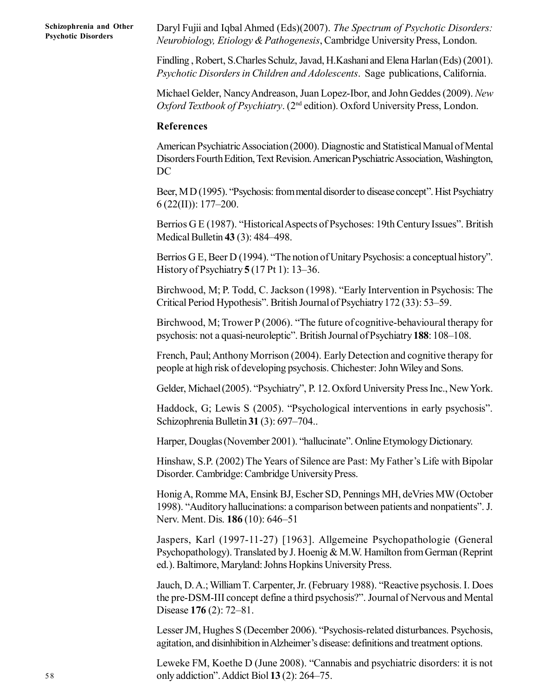Daryl Fujii and Iqbal Ahmed (Eds)(2007). *The Spectrum of Psychotic Disorders: Neurobiology, Etiology & Pathogenesis*, Cambridge University Press, London.

Findling , Robert, S.Charles Schulz, Javad, H.Kashani and Elena Harlan (Eds) (2001). *Psychotic Disorders in Children and Adolescents*. Sage publications, California.

Michael Gelder, Nancy Andreason, Juan Lopez-Ibor, and John Geddes (2009). *New Oxford Textbook of Psychiatry*. (2nd edition). Oxford University Press, London.

#### **References**

American Psychiatric Association (2000). Diagnostic and Statistical Manual of Mental Disorders Fourth Edition, Text Revision. American Pyschiatric Association, Washington, DC

Beer, M D (1995). "Psychosis: from mental disorder to disease concept". Hist Psychiatry  $6(22(II))$ : 177–200.

Berrios G E (1987). "Historical Aspects of Psychoses: 19th Century Issues". British Medical Bulletin **43** (3): 484–498.

Berrios G E, Beer D (1994). "The notion of Unitary Psychosis: a conceptual history". History of Psychiatry **5** (17 Pt 1): 13–36.

Birchwood, M; P. Todd, C. Jackson (1998). "Early Intervention in Psychosis: The Critical Period Hypothesis". British Journal of Psychiatry 172 (33): 53–59.

Birchwood, M; Trower P (2006). "The future of cognitive-behavioural therapy for psychosis: not a quasi-neuroleptic". British Journal of Psychiatry **188**: 108–108.

French, Paul; Anthony Morrison (2004). Early Detection and cognitive therapy for people at high risk of developing psychosis. Chichester: John Wiley and Sons.

Gelder, Michael (2005). "Psychiatry", P. 12. Oxford University Press Inc., New York.

Haddock, G; Lewis S (2005). "Psychological interventions in early psychosis". Schizophrenia Bulletin **31** (3): 697–704..

Harper, Douglas (November 2001). "hallucinate". Online Etymology Dictionary.

Hinshaw, S.P. (2002) The Years of Silence are Past: My Father's Life with Bipolar Disorder. Cambridge: Cambridge University Press.

Honig A, Romme MA, Ensink BJ, Escher SD, Pennings MH, deVries MW (October 1998). "Auditory hallucinations: a comparison between patients and nonpatients". J. Nerv. Ment. Dis. **186** (10): 646–51

Jaspers, Karl (1997-11-27) [1963]. Allgemeine Psychopathologie (General Psychopathology). Translated by J. Hoenig & M.W. Hamilton from German (Reprint ed.). Baltimore, Maryland: Johns Hopkins University Press.

Jauch, D. A.; William T. Carpenter, Jr. (February 1988). "Reactive psychosis. I. Does the pre-DSM-III concept define a third psychosis?". Journal of Nervous and Mental Disease **176** (2): 72–81.

Lesser JM, Hughes S (December 2006). "Psychosis-related disturbances. Psychosis, agitation, and disinhibition in Alzheimer's disease: definitions and treatment options.

Leweke FM, Koethe D (June 2008). "Cannabis and psychiatric disorders: it is not only addiction". Addict Biol **13** (2): 264–75.